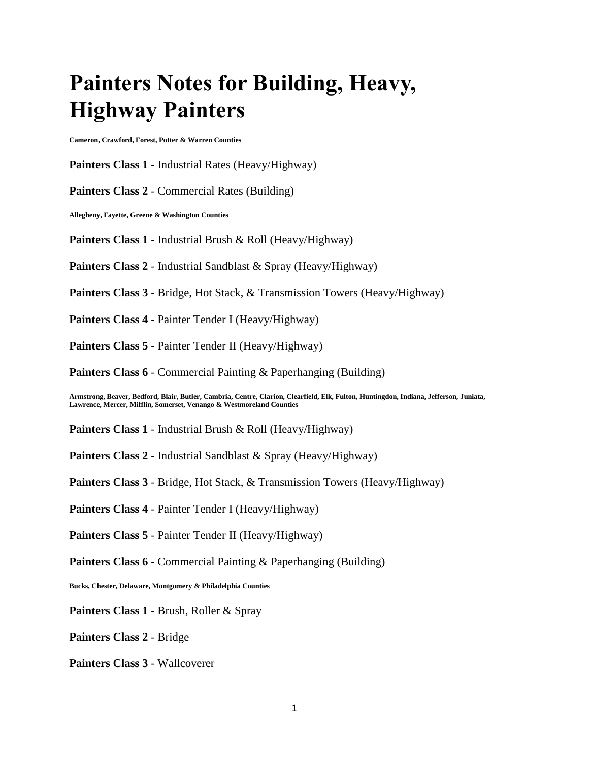## **Painters Notes for Building, Heavy, Highway Painters**

**Cameron, Crawford, Forest, Potter & Warren Counties**

**Painters Class 1** - Industrial Rates (Heavy/Highway)

**Painters Class 2** - Commercial Rates (Building)

**Allegheny, Fayette, Greene & Washington Counties**

**Painters Class 1** - Industrial Brush & Roll (Heavy/Highway)

**Painters Class 2** - Industrial Sandblast & Spray (Heavy/Highway)

**Painters Class 3** - Bridge, Hot Stack, & Transmission Towers (Heavy/Highway)

**Painters Class 4** - Painter Tender I (Heavy/Highway)

**Painters Class 5** - Painter Tender II (Heavy/Highway)

**Painters Class 6** - Commercial Painting & Paperhanging (Building)

**Armstrong, Beaver, Bedford, Blair, Butler, Cambria, Centre, Clarion, Clearfield, Elk, Fulton, Huntingdon, Indiana, Jefferson, Juniata, Lawrence, Mercer, Mifflin, Somerset, Venango & Westmoreland Counties**

**Painters Class 1** - Industrial Brush & Roll (Heavy/Highway)

**Painters Class 2** - Industrial Sandblast & Spray (Heavy/Highway)

**Painters Class 3** - Bridge, Hot Stack, & Transmission Towers (Heavy/Highway)

**Painters Class 4** - Painter Tender I (Heavy/Highway)

**Painters Class 5** - Painter Tender II (Heavy/Highway)

**Painters Class 6** - Commercial Painting & Paperhanging (Building)

**Bucks, Chester, Delaware, Montgomery & Philadelphia Counties**

**Painters Class 1** - Brush, Roller & Spray

**Painters Class 2** - Bridge

**Painters Class 3** - Wallcoverer